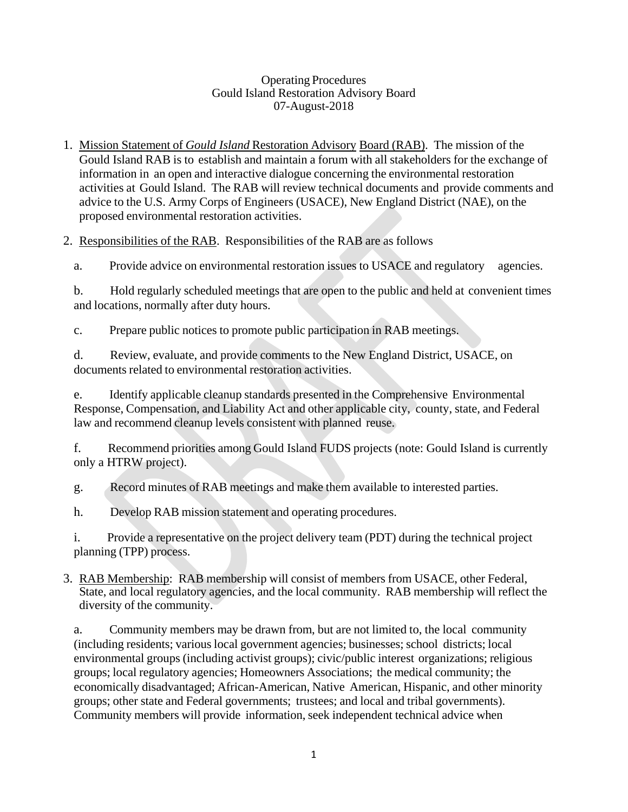## Operating Procedures Gould Island Restoration Advisory Board 07-August-2018

1. Mission Statement of *Gould Island* Restoration Advisory Board (RAB). The mission of the Gould Island RAB is to establish and maintain a forum with all stakeholders for the exchange of information in an open and interactive dialogue concerning the environmental restoration activities at Gould Island. The RAB will review technical documents and provide comments and advice to the U.S. Army Corps of Engineers (USACE), New England District (NAE), on the proposed environmental restoration activities.

2. Responsibilities of the RAB. Responsibilities of the RAB are as follows

a. Provide advice on environmental restoration issues to USACE and regulatory agencies.

b. Hold regularly scheduled meetings that are open to the public and held at convenient times and locations, normally after duty hours.

c. Prepare public notices to promote public participation in RAB meetings.

d. Review, evaluate, and provide comments to the New England District, USACE, on documents related to environmental restoration activities.

e. Identify applicable cleanup standards presented in the Comprehensive Environmental Response, Compensation, and Liability Act and other applicable city, county, state, and Federal law and recommend cleanup levels consistent with planned reuse.

f. Recommend priorities among Gould Island FUDS projects (note: Gould Island is currently only a HTRW project).

g. Record minutes of RAB meetings and make them available to interested parties.

h. Develop RAB mission statement and operating procedures.

i. Provide a representative on the project delivery team (PDT) during the technical project planning (TPP) process.

3. RAB Membership: RAB membership will consist of members from USACE, other Federal, State, and local regulatory agencies, and the local community. RAB membership will reflect the diversity of the community.

a. Community members may be drawn from, but are not limited to, the local community (including residents; various local government agencies; businesses; school districts; local environmental groups (including activist groups); civic/public interest organizations; religious groups; local regulatory agencies; Homeowners Associations; the medical community; the economically disadvantaged; African-American, Native American, Hispanic, and other minority groups; other state and Federal governments; trustees; and local and tribal governments). Community members will provide information, seek independent technical advice when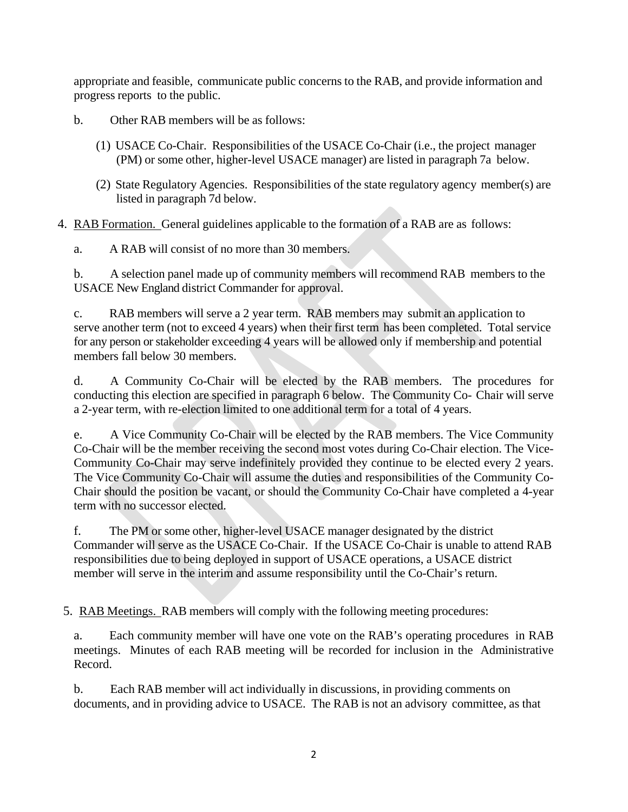appropriate and feasible, communicate public concerns to the RAB, and provide information and progress reports to the public.

- b. Other RAB members will be as follows:
	- (1) USACE Co-Chair. Responsibilities of the USACE Co-Chair (i.e., the project manager (PM) or some other, higher-level USACE manager) are listed in paragraph 7a below.
	- (2) State Regulatory Agencies. Responsibilities of the state regulatory agency member(s) are listed in paragraph 7d below.
- 4. RAB Formation. General guidelines applicable to the formation of a RAB are as follows:
	- a. A RAB will consist of no more than 30 members.

b. A selection panel made up of community members will recommend RAB members to the USACE New England district Commander for approval.

c. RAB members will serve a 2 year term. RAB members may submit an application to serve another term (not to exceed 4 years) when their first term has been completed. Total service for any person or stakeholder exceeding 4 years will be allowed only if membership and potential members fall below 30 members.

d. A Community Co-Chair will be elected by the RAB members. The procedures for conducting this election are specified in paragraph 6 below. The Community Co- Chair will serve a 2-year term, with re-election limited to one additional term for a total of 4 years.

e. A Vice Community Co-Chair will be elected by the RAB members. The Vice Community Co-Chair will be the member receiving the second most votes during Co-Chair election. The Vice-Community Co-Chair may serve indefinitely provided they continue to be elected every 2 years. The Vice Community Co-Chair will assume the duties and responsibilities of the Community Co-Chair should the position be vacant, or should the Community Co-Chair have completed a 4-year term with no successor elected.

f. The PM or some other, higher-level USACE manager designated by the district Commander will serve as the USACE Co-Chair. If the USACE Co-Chair is unable to attend RAB responsibilities due to being deployed in support of USACE operations, a USACE district member will serve in the interim and assume responsibility until the Co-Chair's return.

5. RAB Meetings. RAB members will comply with the following meeting procedures:

a. Each community member will have one vote on the RAB's operating procedures in RAB meetings. Minutes of each RAB meeting will be recorded for inclusion in the Administrative Record.

b. Each RAB member will act individually in discussions, in providing comments on documents, and in providing advice to USACE. The RAB is not an advisory committee, as that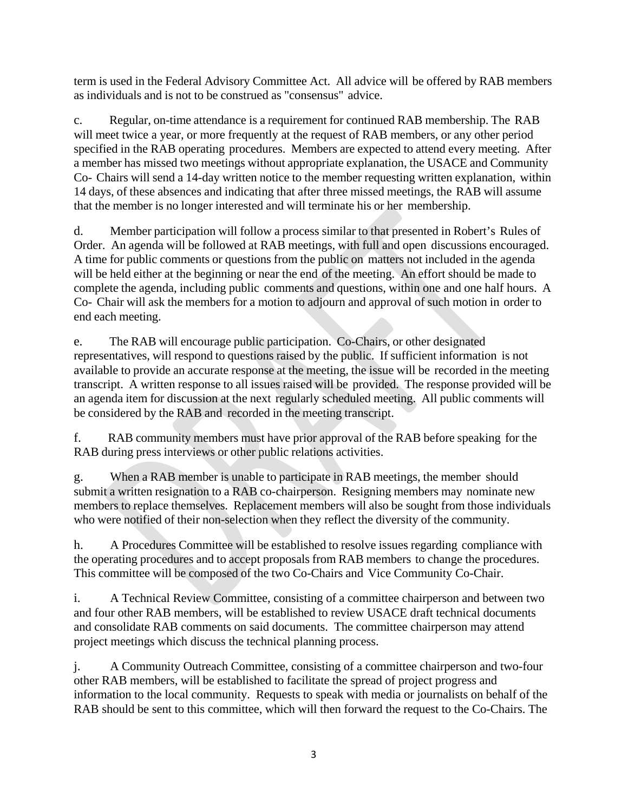term is used in the Federal Advisory Committee Act. All advice will be offered by RAB members as individuals and is not to be construed as "consensus" advice.

c. Regular, on-time attendance is a requirement for continued RAB membership. The RAB will meet twice a year, or more frequently at the request of RAB members, or any other period specified in the RAB operating procedures. Members are expected to attend every meeting. After a member has missed two meetings without appropriate explanation, the USACE and Community Co- Chairs will send a 14-day written notice to the member requesting written explanation, within 14 days, of these absences and indicating that after three missed meetings, the RAB will assume that the member is no longer interested and will terminate his or her membership.

d. Member participation will follow a process similar to that presented in Robert's Rules of Order. An agenda will be followed at RAB meetings, with full and open discussions encouraged. A time for public comments or questions from the public on matters not included in the agenda will be held either at the beginning or near the end of the meeting. An effort should be made to complete the agenda, including public comments and questions, within one and one half hours. A Co- Chair will ask the members for a motion to adjourn and approval of such motion in order to end each meeting.

e. The RAB will encourage public participation. Co-Chairs, or other designated representatives, will respond to questions raised by the public. If sufficient information is not available to provide an accurate response at the meeting, the issue will be recorded in the meeting transcript. A written response to all issues raised will be provided. The response provided will be an agenda item for discussion at the next regularly scheduled meeting. All public comments will be considered by the RAB and recorded in the meeting transcript.

f. RAB community members must have prior approval of the RAB before speaking for the RAB during press interviews or other public relations activities.

g. When a RAB member is unable to participate in RAB meetings, the member should submit a written resignation to a RAB co-chairperson. Resigning members may nominate new members to replace themselves. Replacement members will also be sought from those individuals who were notified of their non-selection when they reflect the diversity of the community.

h. A Procedures Committee will be established to resolve issues regarding compliance with the operating procedures and to accept proposals from RAB members to change the procedures. This committee will be composed of the two Co-Chairs and Vice Community Co-Chair.

i. A Technical Review Committee, consisting of a committee chairperson and between two and four other RAB members, will be established to review USACE draft technical documents and consolidate RAB comments on said documents. The committee chairperson may attend project meetings which discuss the technical planning process.

j. A Community Outreach Committee, consisting of a committee chairperson and two-four other RAB members, will be established to facilitate the spread of project progress and information to the local community. Requests to speak with media or journalists on behalf of the RAB should be sent to this committee, which will then forward the request to the Co-Chairs. The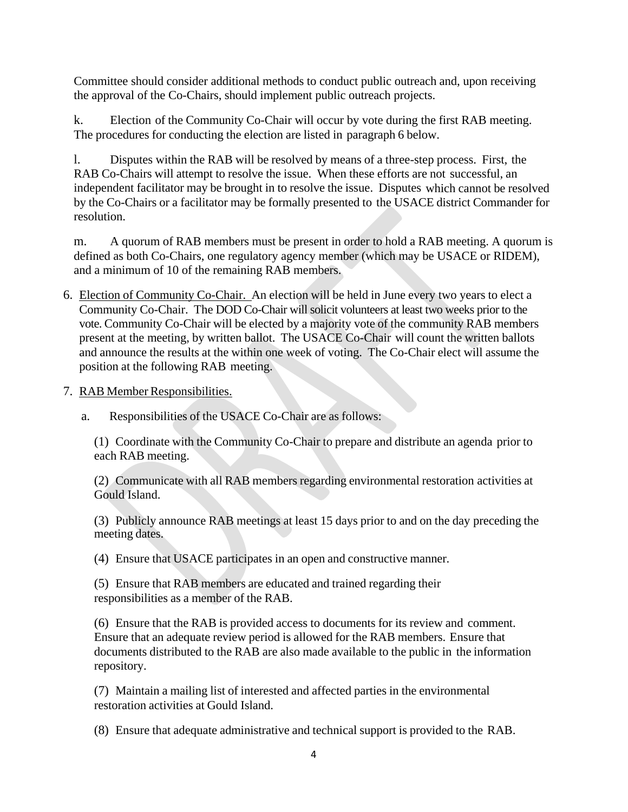Committee should consider additional methods to conduct public outreach and, upon receiving the approval of the Co-Chairs, should implement public outreach projects.

k. Election of the Community Co-Chair will occur by vote during the first RAB meeting. The procedures for conducting the election are listed in paragraph 6 below.

l. Disputes within the RAB will be resolved by means of a three-step process. First, the RAB Co-Chairs will attempt to resolve the issue. When these efforts are not successful, an independent facilitator may be brought in to resolve the issue. Disputes which cannot be resolved by the Co-Chairs or a facilitator may be formally presented to the USACE district Commander for resolution.

m. A quorum of RAB members must be present in order to hold a RAB meeting. A quorum is defined as both Co-Chairs, one regulatory agency member (which may be USACE or RIDEM), and a minimum of 10 of the remaining RAB members.

- 6. Election of Community Co-Chair. An election will be held in June every two years to elect a Community Co-Chair. The DOD Co-Chair will solicit volunteers at least two weeks prior to the vote. Community Co-Chair will be elected by a majority vote of the community RAB members present at the meeting, by written ballot. The USACE Co-Chair will count the written ballots and announce the results at the within one week of voting. The Co-Chair elect will assume the position at the following RAB meeting.
- 7. RAB Member Responsibilities.
	- a. Responsibilities of the USACE Co-Chair are as follows:

(1) Coordinate with the Community Co-Chair to prepare and distribute an agenda prior to each RAB meeting.

(2) Communicate with all RAB members regarding environmental restoration activities at Gould Island.

(3) Publicly announce RAB meetings at least 15 days prior to and on the day preceding the meeting dates.

(4) Ensure that USACE participates in an open and constructive manner.

(5) Ensure that RAB members are educated and trained regarding their responsibilities as a member of the RAB.

(6) Ensure that the RAB is provided access to documents for its review and comment. Ensure that an adequate review period is allowed for the RAB members. Ensure that documents distributed to the RAB are also made available to the public in the information repository.

(7) Maintain a mailing list of interested and affected parties in the environmental restoration activities at Gould Island.

(8) Ensure that adequate administrative and technical support is provided to the RAB.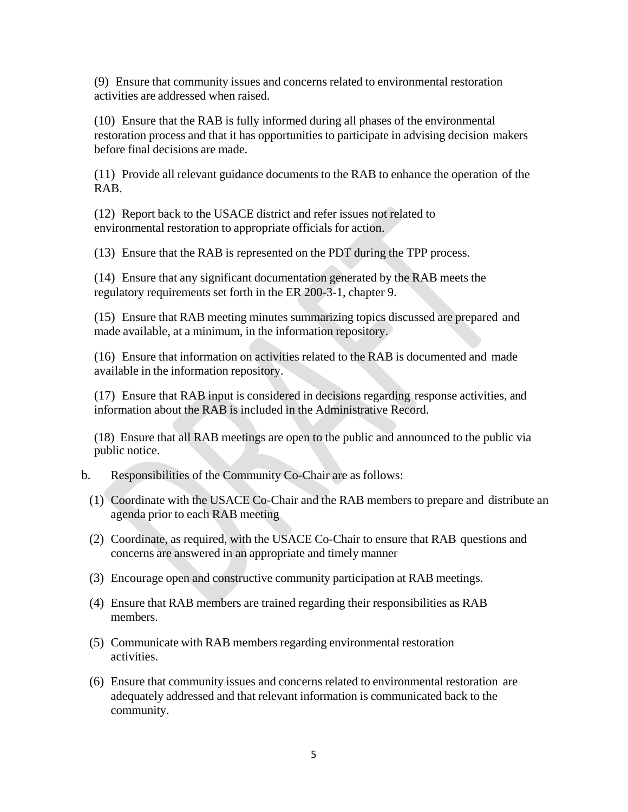(9) Ensure that community issues and concerns related to environmental restoration activities are addressed when raised.

(10) Ensure that the RAB is fully informed during all phases of the environmental restoration process and that it has opportunities to participate in advising decision makers before final decisions are made.

(11) Provide all relevant guidance documents to the RAB to enhance the operation of the RAB.

(12) Report back to the USACE district and refer issues not related to environmental restoration to appropriate officials for action.

(13) Ensure that the RAB is represented on the PDT during the TPP process.

(14) Ensure that any significant documentation generated by the RAB meets the regulatory requirements set forth in the ER 200-3-1, chapter 9.

(15) Ensure that RAB meeting minutes summarizing topics discussed are prepared and made available, at a minimum, in the information repository.

(16) Ensure that information on activities related to the RAB is documented and made available in the information repository.

(17) Ensure that RAB input is considered in decisions regarding response activities, and information about the RAB is included in the Administrative Record.

(18) Ensure that all RAB meetings are open to the public and announced to the public via public notice.

- b. Responsibilities of the Community Co-Chair are as follows:
	- (1) Coordinate with the USACE Co-Chair and the RAB members to prepare and distribute an agenda prior to each RAB meeting
	- (2) Coordinate, as required, with the USACE Co-Chair to ensure that RAB questions and concerns are answered in an appropriate and timely manner
	- (3) Encourage open and constructive community participation at RAB meetings.
	- (4) Ensure that RAB members are trained regarding their responsibilities as RAB members.
	- (5) Communicate with RAB members regarding environmental restoration activities.
	- (6) Ensure that community issues and concerns related to environmental restoration are adequately addressed and that relevant information is communicated back to the community.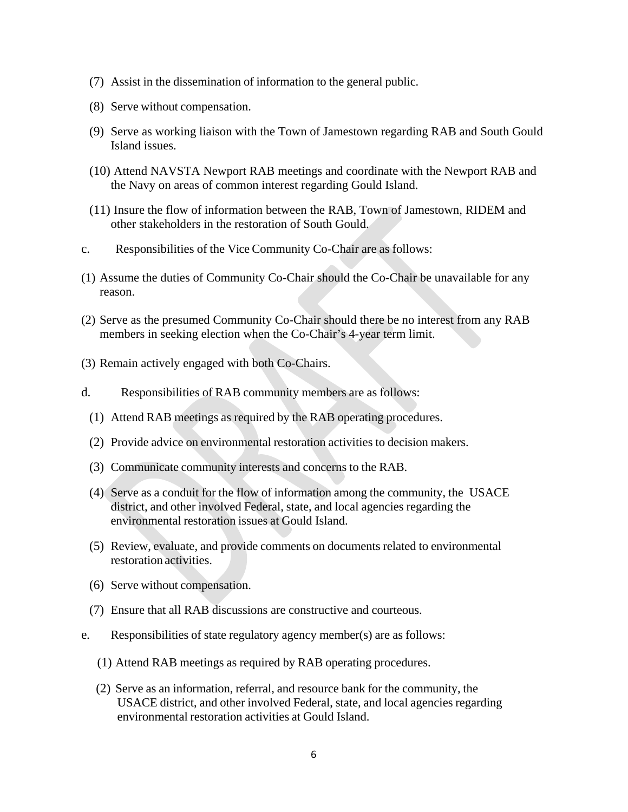- (7) Assist in the dissemination of information to the general public.
- (8) Serve without compensation.
- (9) Serve as working liaison with the Town of Jamestown regarding RAB and South Gould Island issues.
- (10) Attend NAVSTA Newport RAB meetings and coordinate with the Newport RAB and the Navy on areas of common interest regarding Gould Island.
- (11) Insure the flow of information between the RAB, Town of Jamestown, RIDEM and other stakeholders in the restoration of South Gould.
- c. Responsibilities of the Vice Community Co-Chair are as follows:
- (1) Assume the duties of Community Co-Chair should the Co-Chair be unavailable for any reason.
- (2) Serve as the presumed Community Co-Chair should there be no interest from any RAB members in seeking election when the Co-Chair's 4-year term limit.
- (3) Remain actively engaged with both Co-Chairs.
- d. Responsibilities of RAB community members are as follows:
	- (1) Attend RAB meetings as required by the RAB operating procedures.
	- (2) Provide advice on environmental restoration activities to decision makers.
	- (3) Communicate community interests and concerns to the RAB.
	- (4) Serve as a conduit for the flow of information among the community, the USACE district, and other involved Federal, state, and local agencies regarding the environmental restoration issues at Gould Island.
	- (5) Review, evaluate, and provide comments on documents related to environmental restoration activities.
	- (6) Serve without compensation.
	- (7) Ensure that all RAB discussions are constructive and courteous.
- e. Responsibilities of state regulatory agency member(s) are as follows:
	- (1) Attend RAB meetings as required by RAB operating procedures.
	- (2) Serve as an information, referral, and resource bank for the community, the USACE district, and other involved Federal, state, and local agencies regarding environmental restoration activities at Gould Island.